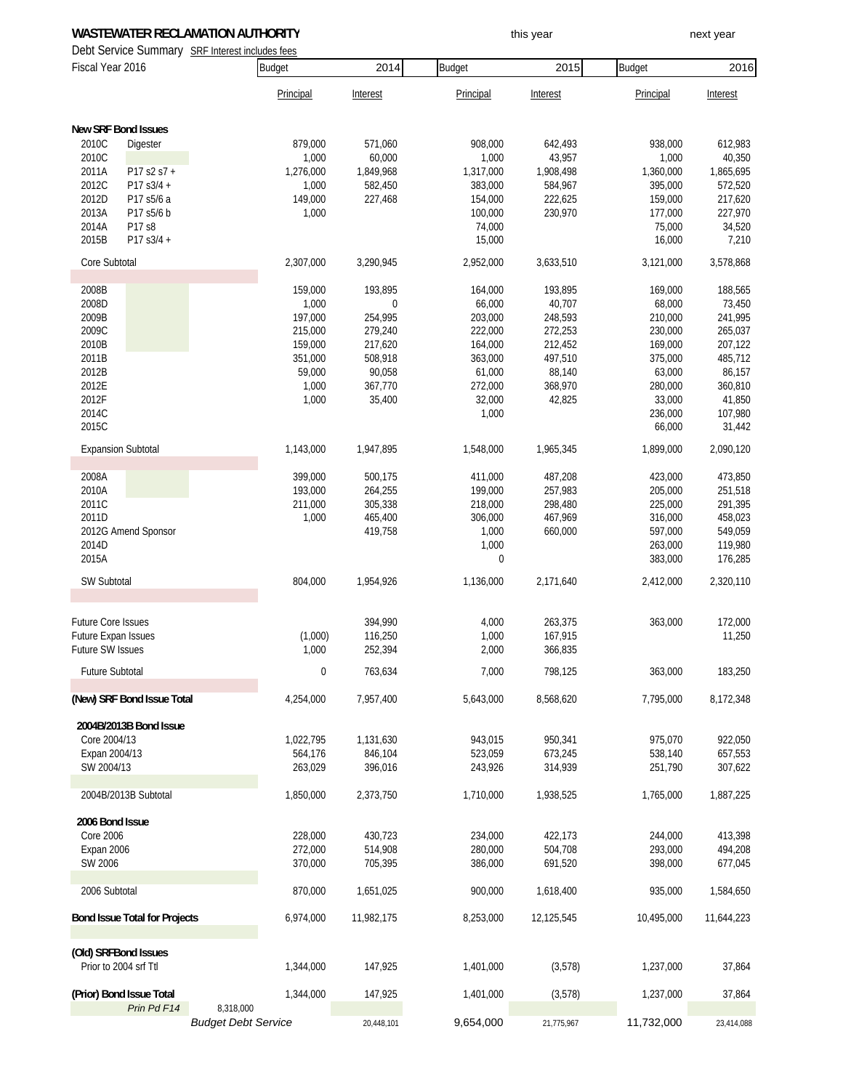# **WASTEWATER RECLAMATION AUTHORITY The CONSTANT OF STATE WASTEWATER RECLAMATION AUTHORITY this year** this year

Debt Service Summary SRF Interest includes fees

| DUNI OUI VIUU OUITIITIUI J<br>Fiscal Year 2016 |                                               | <b>Budget</b>                           | 2014        | Budget     | 2015       | <b>Budget</b> | 2016       |            |
|------------------------------------------------|-----------------------------------------------|-----------------------------------------|-------------|------------|------------|---------------|------------|------------|
|                                                |                                               |                                         | Principal   | Interest   | Principal  | Interest      | Principal  | Interest   |
|                                                | <b>New SRF Bond Issues</b>                    |                                         |             |            |            |               |            |            |
| 2010C                                          | Digester                                      |                                         | 879,000     | 571,060    | 908,000    | 642,493       | 938,000    | 612,983    |
| 2010C                                          |                                               |                                         | 1,000       | 60,000     | 1,000      | 43,957        | 1,000      | 40,350     |
| 2011A                                          | P17 s2 s7 +                                   |                                         | 1,276,000   | 1,849,968  | 1,317,000  | 1,908,498     | 1,360,000  | 1,865,695  |
| 2012C                                          | P17 s3/4 +                                    |                                         | 1,000       | 582,450    | 383,000    | 584,967       | 395,000    | 572,520    |
| 2012D                                          | P17 s5/6 a                                    |                                         | 149,000     | 227,468    | 154,000    | 222,625       | 159,000    | 217,620    |
| 2013A                                          | P17 s5/6 b                                    |                                         | 1,000       |            | 100,000    | 230,970       | 177,000    | 227,970    |
| 2014A                                          | P17 s8                                        |                                         |             |            | 74,000     |               | 75,000     | 34,520     |
| 2015B                                          | P17 s3/4 +                                    |                                         |             |            | 15,000     |               | 16,000     | 7,210      |
| Core Subtotal                                  |                                               |                                         | 2,307,000   | 3,290,945  | 2,952,000  | 3,633,510     | 3,121,000  | 3,578,868  |
| 2008B                                          |                                               |                                         | 159,000     | 193,895    | 164,000    | 193,895       | 169,000    | 188,565    |
| 2008D                                          |                                               |                                         | 1,000       | 0          | 66,000     | 40,707        | 68,000     | 73,450     |
| 2009B                                          |                                               |                                         | 197,000     | 254,995    | 203,000    | 248,593       | 210,000    | 241,995    |
| 2009C                                          |                                               |                                         | 215,000     | 279,240    | 222,000    | 272,253       | 230,000    | 265,037    |
| 2010B                                          |                                               |                                         | 159,000     | 217,620    | 164,000    | 212,452       | 169,000    | 207,122    |
| 2011B                                          |                                               |                                         | 351,000     | 508,918    | 363,000    | 497,510       | 375,000    | 485,712    |
| 2012B                                          |                                               |                                         | 59,000      | 90,058     | 61,000     | 88,140        | 63,000     | 86,157     |
| 2012E                                          |                                               |                                         | 1,000       | 367,770    | 272,000    | 368,970       | 280,000    | 360,810    |
| 2012F                                          |                                               |                                         | 1,000       | 35,400     | 32,000     | 42,825        | 33,000     | 41,850     |
| 2014C                                          |                                               |                                         |             |            | 1,000      |               | 236,000    | 107,980    |
| 2015C                                          |                                               |                                         |             |            |            |               | 66,000     | 31,442     |
|                                                | <b>Expansion Subtotal</b>                     |                                         | 1,143,000   | 1,947,895  | 1,548,000  | 1,965,345     | 1,899,000  | 2,090,120  |
| 2008A                                          |                                               |                                         | 399,000     | 500,175    | 411,000    | 487,208       | 423,000    | 473,850    |
| 2010A                                          |                                               |                                         | 193,000     | 264,255    | 199,000    | 257,983       | 205,000    | 251,518    |
| 2011C                                          |                                               |                                         | 211,000     | 305,338    | 218,000    | 298,480       | 225,000    | 291,395    |
| 2011D                                          |                                               |                                         | 1,000       | 465,400    | 306,000    | 467,969       | 316,000    | 458,023    |
|                                                | 2012G Amend Sponsor                           |                                         |             | 419,758    | 1,000      | 660,000       | 597,000    | 549,059    |
| 2014D                                          |                                               |                                         |             |            | 1,000      |               | 263,000    | 119,980    |
| 2015A                                          |                                               |                                         |             |            | 0          |               | 383,000    | 176,285    |
| SW Subtotal                                    |                                               |                                         | 804,000     | 1,954,926  | 1,136,000  | 2,171,640     | 2,412,000  | 2,320,110  |
| Future Core Issues                             |                                               |                                         |             | 394,990    | 4,000      | 263,375       | 363,000    | 172,000    |
| <b>Future Expan Issues</b>                     |                                               |                                         | (1,000)     | 116,250    | 1,000      | 167,915       |            | 11,250     |
| Future SW Issues                               |                                               |                                         | 1,000       | 252,394    | 2,000      | 366,835       |            |            |
|                                                |                                               |                                         |             |            |            |               |            |            |
| Future Subtotal                                |                                               |                                         | $\mathbf 0$ | 763,634    | 7,000      | 798,125       | 363,000    | 183,250    |
|                                                | (New) SRF Bond Issue Total                    |                                         | 4,254,000   | 7,957,400  | 5,643,000  | 8,568,620     | 7,795,000  | 8,172,348  |
|                                                | 2004B/2013B Bond Issue                        |                                         |             |            |            |               |            |            |
| Core 2004/13                                   |                                               |                                         | 1,022,795   | 1,131,630  | 943,015    | 950,341       | 975,070    | 922,050    |
| Expan 2004/13                                  |                                               |                                         | 564,176     | 846,104    | 523,059    | 673,245       | 538,140    | 657,553    |
| SW 2004/13                                     |                                               |                                         | 263,029     | 396,016    | 243,926    | 314,939       | 251,790    | 307,622    |
|                                                | 2004B/2013B Subtotal                          |                                         | 1,850,000   | 2,373,750  | 1,710,000  | 1,938,525     | 1,765,000  | 1,887,225  |
| 2006 Bond Issue                                |                                               |                                         |             |            |            |               |            |            |
| <b>Core 2006</b>                               |                                               |                                         | 228,000     | 430,723    | 234,000    | 422,173       | 244,000    | 413,398    |
| Expan 2006                                     |                                               |                                         | 272,000     | 514,908    | 280,000    | 504,708       | 293,000    | 494,208    |
| SW 2006                                        |                                               |                                         | 370,000     | 705,395    | 386,000    | 691,520       | 398,000    | 677,045    |
| 2006 Subtotal                                  |                                               |                                         | 870,000     | 1,651,025  | 900,000    | 1,618,400     | 935,000    | 1,584,650  |
| <b>Bond Issue Total for Projects</b>           |                                               | 6,974,000                               | 11,982,175  | 8,253,000  | 12,125,545 | 10,495,000    | 11,644,223 |            |
|                                                |                                               |                                         |             |            |            |               |            |            |
|                                                | (Old) SRFBond Issues<br>Prior to 2004 srf Ttl |                                         | 1,344,000   | 147,925    | 1,401,000  | (3,578)       | 1,237,000  | 37,864     |
|                                                | (Prior) Bond Issue Total                      |                                         | 1,344,000   | 147,925    | 1,401,000  | (3,578)       | 1,237,000  | 37,864     |
|                                                | Prin Pd F14                                   | 8,318,000<br><b>Budget Debt Service</b> |             | 20,448,101 | 9,654,000  | 21,775,967    | 11,732,000 | 23,414,088 |
|                                                |                                               |                                         |             |            |            |               |            |            |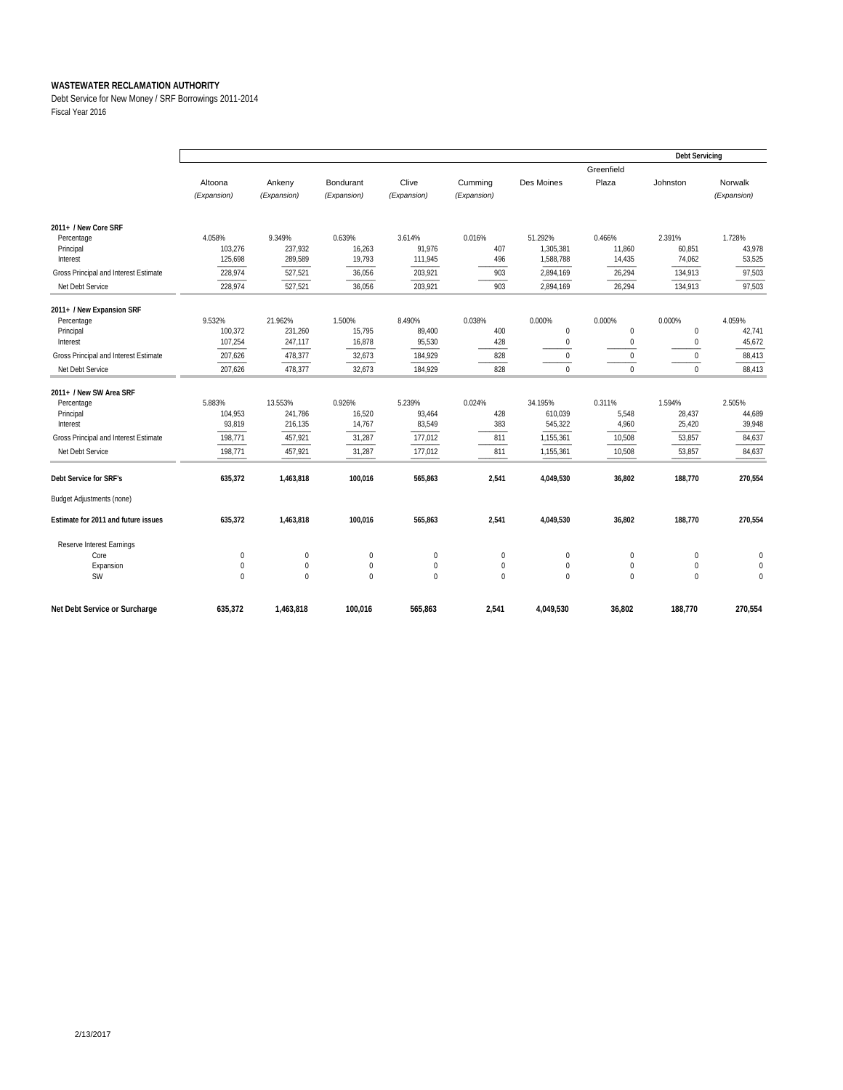Debt Service for New Money / SRF Borrowings 2011-2014 Fiscal Year 2016

|                                       |             |             |                  |             |             |             |             | <b>Debt Servicing</b> |             |  |  |
|---------------------------------------|-------------|-------------|------------------|-------------|-------------|-------------|-------------|-----------------------|-------------|--|--|
|                                       |             |             |                  |             |             |             | Greenfield  |                       |             |  |  |
|                                       | Altoona     | Ankeny      | Bondurant        | Clive       | Cumming     | Des Moines  | Plaza       | Johnston              | Norwalk     |  |  |
|                                       | (Expansion) | (Expansion) | (Expansion)      | (Expansion) | (Expansion) |             |             |                       | (Expansion) |  |  |
|                                       |             |             |                  |             |             |             |             |                       |             |  |  |
| 2011+ / New Core SRF                  |             |             |                  |             |             |             |             |                       |             |  |  |
| Percentage                            | 4.058%      | 9.349%      | 0.639%           | 3.614%      | 0.016%      | 51.292%     | 0.466%      | 2.391%                | 1.728%      |  |  |
| Principal                             | 103,276     | 237,932     | 16,263           | 91,976      | 407         | 1,305,381   | 11,860      | 60,851                | 43,978      |  |  |
| Interest                              | 125,698     | 289,589     | 19,793           | 111,945     | 496         | 1,588,788   | 14,435      | 74,062                | 53,525      |  |  |
| Gross Principal and Interest Estimate | 228,974     | 527,521     | 36,056           | 203,921     | 903         | 2,894,169   | 26,294      | 134,913               | 97,503      |  |  |
| Net Debt Service                      | 228,974     | 527,521     | 36,056           | 203,921     | 903         | 2,894,169   | 26,294      | 134,913               | 97,503      |  |  |
|                                       |             |             |                  |             |             |             |             |                       |             |  |  |
| 2011+ / New Expansion SRF             |             |             |                  |             |             |             |             |                       |             |  |  |
| Percentage                            | 9.532%      | 21.962%     | 1.500%           | 8.490%      | 0.038%      | 0.000%      | 0.000%      | 0.000%                | 4.059%      |  |  |
| Principal                             | 100,372     | 231,260     | 15,795           | 89,400      | 400         | $\pmb{0}$   | $\bf 0$     | $\bf 0$               | 42,741      |  |  |
| Interest                              | 107,254     | 247,117     | 16,878           | 95,530      | 428         | $\mathbf 0$ | $\Omega$    | $\mathbf{0}$          | 45,672      |  |  |
| Gross Principal and Interest Estimate | 207,626     | 478,377     | 32,673           | 184,929     | 828         | $\mathbf 0$ | $\mathbf 0$ | $\mathbf{0}$          | 88,413      |  |  |
| Net Debt Service                      | 207,626     | 478,377     | 32,673           | 184,929     | 828         | $\Omega$    | $\Omega$    | $\Omega$              | 88,413      |  |  |
| 2011+ / New SW Area SRF               |             |             |                  |             |             |             |             |                       |             |  |  |
| Percentage                            | 5.883%      | 13.553%     | 0.926%           | 5.239%      | 0.024%      | 34.195%     | 0.311%      | 1.594%                | 2.505%      |  |  |
| Principal                             | 104,953     | 241,786     | 16,520           | 93,464      | 428         | 610,039     | 5,548       | 28,437                | 44,689      |  |  |
| Interest                              | 93,819      | 216.135     | 14,767           | 83,549      | 383         | 545,322     | 4,960       | 25,420                | 39,948      |  |  |
| Gross Principal and Interest Estimate | 198,771     | 457,921     | 31,287           | 177,012     | 811         | 1,155,361   | 10,508      | 53,857                | 84,637      |  |  |
| Net Debt Service                      | 198,771     | 457,921     | 31,287           | 177,012     | 811         | 1,155,361   | 10,508      | 53,857                | 84,637      |  |  |
|                                       |             |             |                  |             |             |             |             |                       |             |  |  |
| Debt Service for SRF's                | 635,372     | 1,463,818   | 100,016          | 565,863     | 2,541       | 4,049,530   | 36,802      | 188,770               | 270,554     |  |  |
| <b>Budget Adjustments (none)</b>      |             |             |                  |             |             |             |             |                       |             |  |  |
| Estimate for 2011 and future issues   | 635,372     | 1,463,818   | 100,016          | 565,863     | 2,541       | 4,049,530   | 36,802      | 188,770               | 270,554     |  |  |
| Reserve Interest Earnings             |             |             |                  |             |             |             |             |                       |             |  |  |
| Core                                  | $\bf{0}$    | $\mathbf 0$ | 0                | 0           | $\mathbf 0$ | 0           | $\mathbf 0$ | $\bf{0}$              | 0           |  |  |
| Expansion                             | 0           | $\pmb{0}$   | $\boldsymbol{0}$ | 0           | 0           | $\pmb{0}$   | $\mathbf 0$ | $\pmb{0}$             | $\theta$    |  |  |
| <b>SW</b>                             | $\mathbf 0$ | $\Omega$    | $\mathbf 0$      | $\mathbf 0$ | $\mathbf 0$ | $\Omega$    | $\Omega$    | $\mathbf 0$           | $\theta$    |  |  |
|                                       |             |             |                  |             |             |             |             |                       |             |  |  |
| Net Debt Service or Surcharge         | 635,372     | 1,463,818   | 100,016          | 565,863     | 2,541       | 4,049,530   | 36.802      | 188,770               | 270,554     |  |  |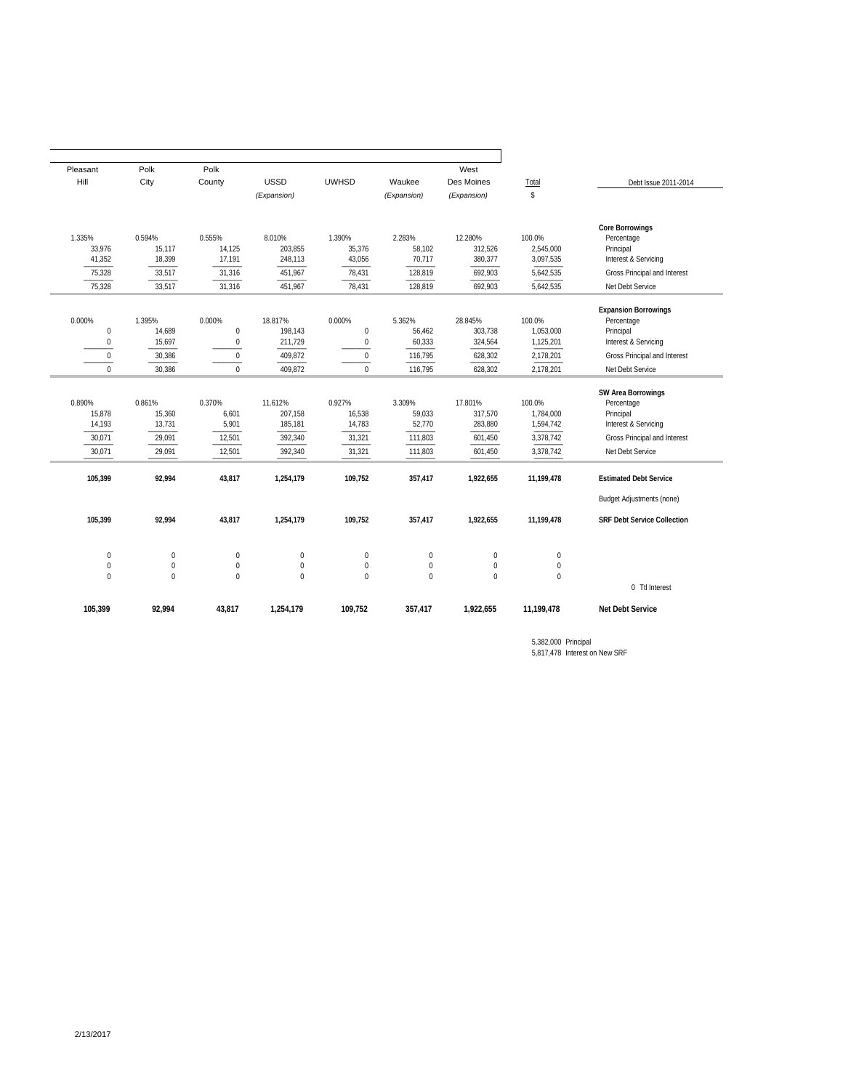| Pleasant         | Polk         | Polk             |             |                  |              | West        |             |                                    |
|------------------|--------------|------------------|-------------|------------------|--------------|-------------|-------------|------------------------------------|
| Hill             | City         | County           | <b>USSD</b> | <b>UWHSD</b>     | Waukee       | Des Moines  | Total       | Debt Issue 2011-2014               |
|                  |              |                  | (Expansion) |                  | (Expansion)  | (Expansion) | \$          |                                    |
| 1.335%           | 0.594%       | 0.555%           | 8.010%      | 1.390%           | 2.283%       | 12.280%     | 100.0%      | <b>Core Borrowings</b>             |
| 33,976           | 15,117       | 14,125           | 203,855     | 35,376           | 58,102       | 312,526     | 2,545,000   | Percentage<br>Principal            |
| 41,352           | 18,399       | 17,191           | 248,113     | 43,056           | 70,717       | 380,377     | 3,097,535   | Interest & Servicing               |
| 75,328           | 33,517       | 31,316           | 451,967     | 78,431           | 128,819      | 692,903     | 5,642,535   | Gross Principal and Interest       |
| 75,328           | 33,517       | 31,316           | 451,967     | 78.431           | 128,819      | 692,903     | 5,642,535   | Net Debt Service                   |
|                  |              |                  |             |                  |              |             |             | <b>Expansion Borrowings</b>        |
| 0.000%           | 1.395%       | 0.000%           | 18.817%     | 0.000%           | 5.362%       | 28.845%     | 100.0%      | Percentage                         |
| $\mathbf 0$      | 14,689       | $\pmb{0}$        | 198,143     | $\boldsymbol{0}$ | 56,462       | 303,738     | 1,053,000   | Principal                          |
| $\boldsymbol{0}$ | 15,697       | $\pmb{0}$        | 211,729     | $\boldsymbol{0}$ | 60,333       | 324,564     | 1,125,201   | Interest & Servicing               |
| $\bf 0$          | 30,386       | $\boldsymbol{0}$ | 409,872     | $\mathbf 0$      | 116,795      | 628,302     | 2,178,201   | Gross Principal and Interest       |
| $\mathbf 0$      | 30,386       | $\mathbf 0$      | 409,872     | $\mathbf{0}$     | 116,795      | 628,302     | 2,178,201   | Net Debt Service                   |
|                  |              |                  |             |                  |              |             |             | <b>SW Area Borrowings</b>          |
| 0.890%           | 0.861%       | 0.370%           | 11.612%     | 0.927%           | 3.309%       | 17.801%     | 100.0%      | Percentage                         |
| 15,878           | 15,360       | 6,601            | 207,158     | 16,538           | 59,033       | 317,570     | 1,784,000   | Principal                          |
| 14,193           | 13,731       | 5,901            | 185,181     | 14,783           | 52,770       | 283,880     | 1,594,742   | Interest & Servicing               |
| 30,071           | 29,091       | 12,501           | 392,340     | 31,321           | 111,803      | 601,450     | 3,378,742   | Gross Principal and Interest       |
| 30,071           | 29.091       | 12,501           | 392,340     | 31,321           | 111,803      | 601,450     | 3,378,742   | Net Debt Service                   |
| 105,399          | 92,994       | 43,817           | 1,254,179   | 109,752          | 357,417      | 1,922,655   | 11,199,478  | <b>Estimated Debt Service</b>      |
|                  |              |                  |             |                  |              |             |             | <b>Budget Adjustments (none)</b>   |
| 105,399          | 92,994       | 43,817           | 1,254,179   | 109,752          | 357,417      | 1,922,655   | 11,199,478  | <b>SRF Debt Service Collection</b> |
| $\mathbf{0}$     | $\mathbf 0$  | $\pmb{0}$        | $\pmb{0}$   | $\boldsymbol{0}$ | $\bf 0$      | $\mathbf 0$ | $\mathbf 0$ |                                    |
| $\mathbf 0$      | $\mathbf{0}$ | $\mathbf{0}$     | $\mathbf 0$ | $\mathbf 0$      | $\mathbf 0$  | $\mathbf 0$ | $\mathbf 0$ |                                    |
| $\mathbf 0$      | $\mathbf{0}$ | $\mathbf{0}$     | $\mathbf 0$ | $\mathbf 0$      | $\mathbf{0}$ | $\mathbf 0$ | $\mathbf 0$ |                                    |
|                  |              |                  |             |                  |              |             |             | 0 Ttl Interest                     |
| 105,399          | 92,994       | 43,817           | 1,254,179   | 109,752          | 357,417      | 1,922,655   | 11,199,478  | <b>Net Debt Service</b>            |

5,817,478 Interest on New SRF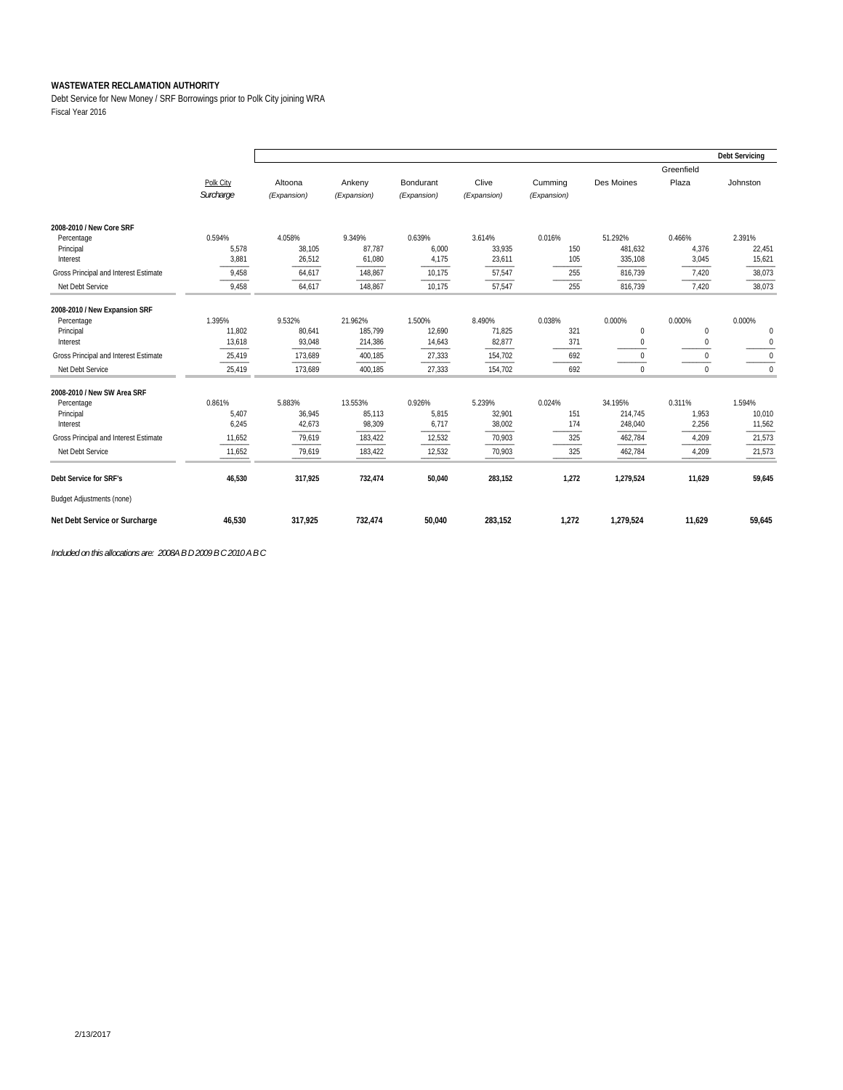Debt Service for New Money / SRF Borrowings prior to Polk City joining WRA Fiscal Year 2016

|                                        |           |             |             |             |             |             |              |              | <b>Debt Servicing</b> |
|----------------------------------------|-----------|-------------|-------------|-------------|-------------|-------------|--------------|--------------|-----------------------|
|                                        |           |             |             |             |             |             |              | Greenfield   |                       |
|                                        | Polk City | Altoona     | Ankeny      | Bondurant   | Clive       | Cumming     | Des Moines   | Plaza        | Johnston              |
|                                        | Surcharge | (Expansion) | (Expansion) | (Expansion) | (Expansion) | (Expansion) |              |              |                       |
|                                        |           |             |             |             |             |             |              |              |                       |
| 2008-2010 / New Core SRF<br>Percentage | 0.594%    | 4.058%      | 9.349%      | 0.639%      | 3.614%      | 0.016%      | 51.292%      | 0.466%       | 2.391%                |
| Principal                              | 5,578     | 38,105      | 87,787      | 6,000       | 33,935      | 150         | 481,632      | 4,376        | 22,451                |
| Interest                               | 3,881     | 26,512      | 61,080      | 4,175       | 23,611      | 105         | 335,108      | 3,045        | 15,621                |
| Gross Principal and Interest Estimate  | 9,458     | 64,617      | 148,867     | 10,175      | 57,547      | 255         | 816,739      | 7,420        | 38,073                |
| Net Debt Service                       | 9,458     | 64,617      | 148,867     | 10,175      | 57,547      | 255         | 816,739      | 7,420        | 38,073                |
| 2008-2010 / New Expansion SRF          |           |             |             |             |             |             |              |              |                       |
| Percentage                             | 1.395%    | 9.532%      | 21.962%     | 1.500%      | 8.490%      | 0.038%      | 0.000%       | 0.000%       | 0.000%                |
| Principal                              | 11,802    | 80,641      | 185,799     | 12,690      | 71,825      | 321         | $\mathbf{0}$ | $\mathbf{0}$ | $\mathbf 0$           |
| Interest                               | 13,618    | 93,048      | 214,386     | 14,643      | 82,877      | 371         | $\mathbf 0$  | $\mathbf{0}$ | $\mathbf 0$           |
| Gross Principal and Interest Estimate  | 25,419    | 173,689     | 400,185     | 27,333      | 154,702     | 692         | $\Omega$     | $\mathbf{0}$ | $\mathbf 0$           |
| Net Debt Service                       | 25,419    | 173,689     | 400,185     | 27,333      | 154,702     | 692         | $\mathbf 0$  | $\mathbf{0}$ | $\Omega$              |
| 2008-2010 / New SW Area SRF            |           |             |             |             |             |             |              |              |                       |
| Percentage                             | 0.861%    | 5.883%      | 13.553%     | 0.926%      | 5.239%      | 0.024%      | 34.195%      | 0.311%       | 1.594%                |
| Principal                              | 5,407     | 36,945      | 85,113      | 5,815       | 32,901      | 151         | 214,745      | 1,953        | 10,010                |
| Interest                               | 6,245     | 42,673      | 98,309      | 6,717       | 38,002      | 174         | 248,040      | 2,256        | 11,562                |
| Gross Principal and Interest Estimate  | 11,652    | 79,619      | 183,422     | 12,532      | 70,903      | 325         | 462,784      | 4,209        | 21,573                |
| Net Debt Service                       | 11,652    | 79,619      | 183,422     | 12,532      | 70,903      | 325         | 462,784      | 4,209        | 21,573                |
| Debt Service for SRF's                 | 46,530    | 317,925     | 732,474     | 50,040      | 283,152     | 1,272       | 1,279,524    | 11,629       | 59,645                |
| <b>Budget Adjustments (none)</b>       |           |             |             |             |             |             |              |              |                       |
| Net Debt Service or Surcharge          | 46,530    | 317,925     | 732,474     | 50,040      | 283,152     | 1,272       | 1,279,524    | 11.629       | 59,645                |

*Included on this allocations are: 2008A B D 2009 B C 2010 A B C*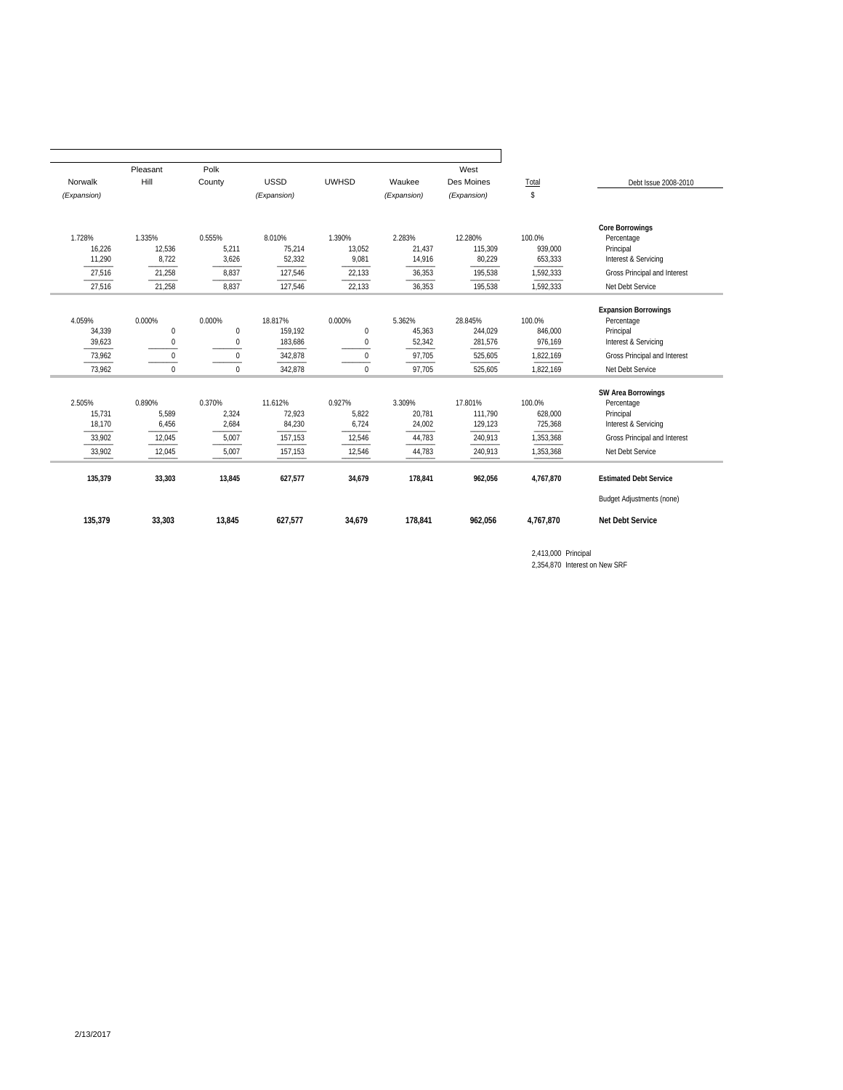|             | Pleasant     | Polk             |             |              |             | West        |           |                                  |
|-------------|--------------|------------------|-------------|--------------|-------------|-------------|-----------|----------------------------------|
| Norwalk     | Hill         | County           | <b>USSD</b> | <b>UWHSD</b> | Waukee      | Des Moines  | Total     | Debt Issue 2008-2010             |
| (Expansion) |              |                  | (Expansion) |              | (Expansion) | (Expansion) | \$        |                                  |
|             |              |                  |             |              |             |             |           | <b>Core Borrowings</b>           |
| 1.728%      | 1.335%       | 0.555%           | 8.010%      | 1.390%       | 2.283%      | 12.280%     | 100.0%    | Percentage                       |
| 16,226      | 12,536       | 5,211            | 75,214      | 13,052       | 21,437      | 115,309     | 939,000   | Principal                        |
| 11,290      | 8,722        | 3,626            | 52,332      | 9,081        | 14,916      | 80,229      | 653,333   | Interest & Servicing             |
| 27,516      | 21,258       | 8,837            | 127,546     | 22,133       | 36,353      | 195,538     | 1,592,333 | Gross Principal and Interest     |
| 27,516      | 21,258       | 8,837            | 127,546     | 22,133       | 36,353      | 195,538     | 1,592,333 | Net Debt Service                 |
|             |              |                  |             |              |             |             |           | <b>Expansion Borrowings</b>      |
| 4.059%      | 0.000%       | 0.000%           | 18.817%     | 0.000%       | 5.362%      | 28.845%     | 100.0%    | Percentage                       |
| 34,339      | $\mathbf{0}$ | $\boldsymbol{0}$ | 159,192     | 0            | 45,363      | 244,029     | 846,000   | Principal                        |
| 39,623      | 0            | $\bf{0}$         | 183,686     | 0            | 52,342      | 281,576     | 976,169   | Interest & Servicing             |
| 73.962      | $\Omega$     | $\mathbf{0}$     | 342,878     | $\mathbf 0$  | 97,705      | 525,605     | 1,822,169 | Gross Principal and Interest     |
| 73.962      | $\Omega$     | $\Omega$         | 342,878     | $\Omega$     | 97,705      | 525,605     | 1,822,169 | Net Debt Service                 |
|             |              |                  |             |              |             |             |           | <b>SW Area Borrowings</b>        |
| 2.505%      | 0.890%       | 0.370%           | 11.612%     | 0.927%       | 3.309%      | 17.801%     | 100.0%    | Percentage                       |
| 15,731      | 5,589        | 2,324            | 72,923      | 5,822        | 20,781      | 111,790     | 628,000   | Principal                        |
| 18,170      | 6,456        | 2,684            | 84,230      | 6,724        | 24,002      | 129,123     | 725,368   | Interest & Servicing             |
| 33,902      | 12,045       | 5,007            | 157,153     | 12,546       | 44,783      | 240,913     | 1,353,368 | Gross Principal and Interest     |
| 33,902      | 12,045       | 5,007            | 157,153     | 12,546       | 44,783      | 240,913     | 1,353,368 | Net Debt Service                 |
| 135,379     | 33,303       | 13,845           | 627,577     | 34,679       | 178,841     | 962,056     | 4,767,870 | <b>Estimated Debt Service</b>    |
|             |              |                  |             |              |             |             |           | <b>Budget Adjustments (none)</b> |
| 135,379     | 33,303       | 13,845           | 627,577     | 34,679       | 178,841     | 962,056     | 4,767,870 | <b>Net Debt Service</b>          |

2,413,000 Principal 2,354,870 Interest on New SRF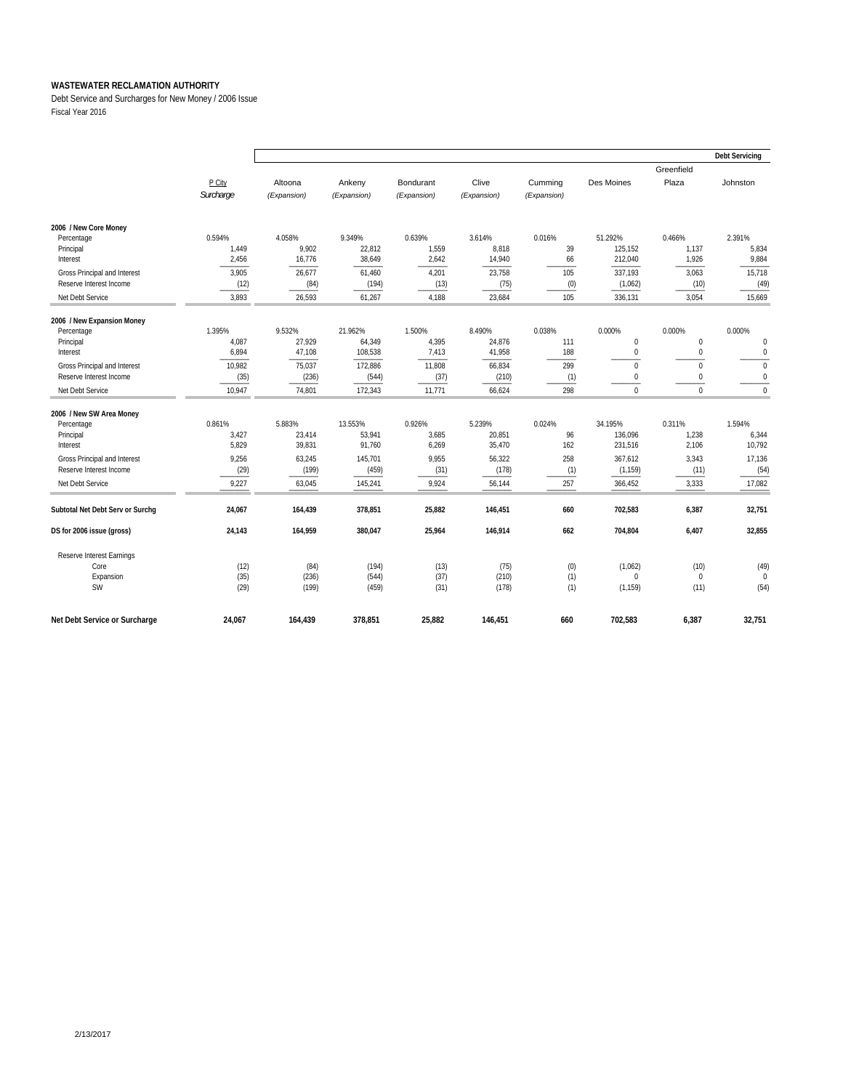Debt Service and Surcharges for New Money / 2006 Issue Fiscal Year 2016

|                                  |           |             |             |             |             |             |              |                  | <b>Debt Servicing</b> |
|----------------------------------|-----------|-------------|-------------|-------------|-------------|-------------|--------------|------------------|-----------------------|
|                                  |           |             |             |             |             |             |              | Greenfield       |                       |
|                                  | P City    | Altoona     | Ankeny      | Bondurant   | Clive       | Cumming     | Des Moines   | Plaza            | Johnston              |
|                                  | Surcharge | (Expansion) | (Expansion) | (Expansion) | (Expansion) | (Expansion) |              |                  |                       |
| 2006 / New Core Money            |           |             |             |             |             |             |              |                  |                       |
| Percentage                       | 0.594%    | 4.058%      | 9.349%      | 0.639%      | 3.614%      | 0.016%      | 51.292%      | 0.466%           | 2.391%                |
| Principal                        | 1,449     | 9,902       | 22,812      | 1,559       | 8,818       | 39          | 125,152      | 1,137            | 5,834                 |
| Interest                         | 2,456     | 16,776      | 38,649      | 2,642       | 14,940      | 66          | 212,040      | 1,926            | 9,884                 |
| Gross Principal and Interest     | 3,905     | 26,677      | 61,460      | 4,201       | 23,758      | 105         | 337,193      | 3,063            | 15,718                |
| Reserve Interest Income          | (12)      | (84)        | (194)       | (13)        | (75)        | (0)         | (1,062)      | (10)             | (49)                  |
| Net Debt Service                 | 3,893     | 26,593      | 61,267      | 4,188       | 23,684      | 105         | 336,131      | 3,054            | 15,669                |
| 2006 / New Expansion Money       |           |             |             |             |             |             |              |                  |                       |
| Percentage                       | 1.395%    | 9.532%      | 21.962%     | 1.500%      | 8.490%      | 0.038%      | 0.000%       | 0.000%           | 0.000%                |
| Principal                        | 4,087     | 27,929      | 64,349      | 4,395       | 24,876      | 111         | $\pmb{0}$    | $\boldsymbol{0}$ | $\mathbf 0$           |
| Interest                         | 6,894     | 47,108      | 108,538     | 7,413       | 41,958      | 188         | $\mathbf 0$  | $\mathbf 0$      | $\bf{0}$              |
| Gross Principal and Interest     | 10,982    | 75,037      | 172,886     | 11,808      | 66,834      | 299         | $\mathbf{0}$ | $\mathbf 0$      | $\mathbf{0}$          |
| Reserve Interest Income          | (35)      | (236)       | (544)       | (37)        | (210)       | (1)         | $\mathbf{0}$ | $\mathbf 0$      | $\mathbf 0$           |
| Net Debt Service                 | 10,947    | 74.801      | 172,343     | 11.771      | 66.624      | 298         | $\mathbf{0}$ | $\mathbf 0$      | $\mathbf{0}$          |
| 2006 / New SW Area Money         |           |             |             |             |             |             |              |                  |                       |
| Percentage                       | 0.861%    | 5.883%      | 13.553%     | 0.926%      | 5.239%      | 0.024%      | 34.195%      | 0.311%           | 1.594%                |
| Principal                        | 3,427     | 23,414      | 53,941      | 3,685       | 20,851      | 96          | 136,096      | 1,238            | 6,344                 |
| Interest                         | 5,829     | 39,831      | 91,760      | 6,269       | 35,470      | 162         | 231,516      | 2,106            | 10,792                |
| Gross Principal and Interest     | 9,256     | 63,245      | 145,701     | 9,955       | 56,322      | 258         | 367,612      | 3,343            | 17,136                |
| Reserve Interest Income          | (29)      | (199)       | (459)       | (31)        | (178)       | (1)         | (1, 159)     | (11)             | (54)                  |
| Net Debt Service                 | 9,227     | 63,045      | 145,241     | 9,924       | 56,144      | 257         | 366,452      | 3,333            | 17,082                |
| Subtotal Net Debt Serv or Surchg | 24,067    | 164,439     | 378,851     | 25,882      | 146,451     | 660         | 702,583      | 6,387            | 32,751                |
| DS for 2006 issue (gross)        | 24,143    | 164,959     | 380,047     | 25,964      | 146,914     | 662         | 704,804      | 6,407            | 32,855                |
| Reserve Interest Earnings        |           |             |             |             |             |             |              |                  |                       |
| Core                             | (12)      | (84)        | (194)       | (13)        | (75)        | (0)         | (1,062)      | (10)             | (49)                  |
| Expansion                        | (35)      | (236)       | (544)       | (37)        | (210)       | (1)         | $\mathbf 0$  | $\mathbf{0}$     | $\Omega$              |
| <b>SW</b>                        | (29)      | (199)       | (459)       | (31)        | (178)       | (1)         | (1, 159)     | (11)             | (54)                  |
| Net Debt Service or Surcharge    | 24,067    | 164,439     | 378,851     | 25,882      | 146.451     | 660         | 702,583      | 6,387            | 32,751                |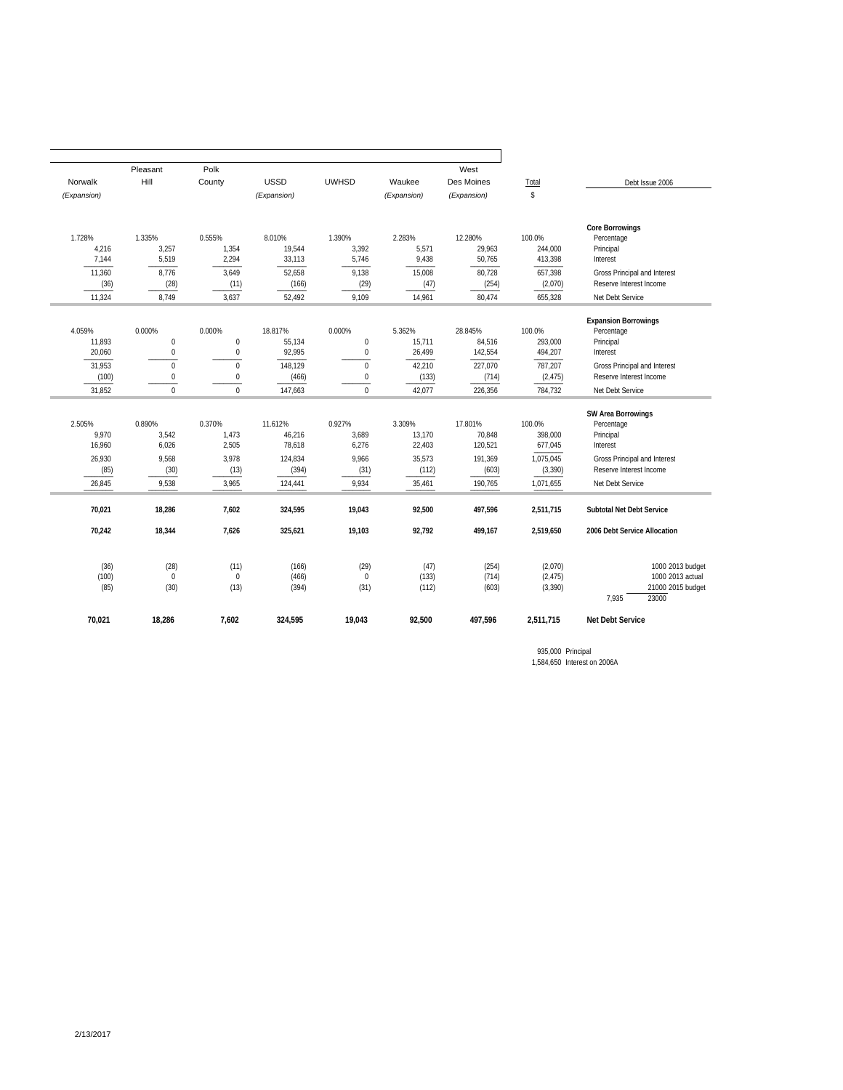|                                                       | Pleasant                                           | Polk                                               |                                                            |                                                    |                                                         | West                                                        |                                                                    |                                                                                                                                                 |
|-------------------------------------------------------|----------------------------------------------------|----------------------------------------------------|------------------------------------------------------------|----------------------------------------------------|---------------------------------------------------------|-------------------------------------------------------------|--------------------------------------------------------------------|-------------------------------------------------------------------------------------------------------------------------------------------------|
| Norwalk                                               | Hill                                               | County                                             | <b>USSD</b>                                                | <b>UWHSD</b>                                       | Waukee                                                  | Des Moines                                                  | Total                                                              | Debt Issue 2006                                                                                                                                 |
| (Expansion)                                           |                                                    |                                                    | (Expansion)                                                |                                                    | (Expansion)                                             | (Expansion)                                                 | \$                                                                 |                                                                                                                                                 |
| 1.728%<br>4,216<br>7,144                              | 1.335%<br>3,257<br>5,519                           | 0.555%<br>1,354<br>2,294                           | 8.010%<br>19,544<br>33,113                                 | 1.390%<br>3,392<br>5,746                           | 2.283%<br>5,571<br>9,438                                | 12.280%<br>29.963<br>50,765                                 | 100.0%<br>244.000<br>413,398                                       | <b>Core Borrowings</b><br>Percentage<br>Principal                                                                                               |
| 11,360<br>(36)                                        | 8.776<br>(28)                                      | 3,649<br>(11)                                      | 52.658<br>(166)                                            | 9,138<br>(29)                                      | 15,008<br>(47)                                          | 80,728<br>(254)                                             | 657,398<br>(2,070)                                                 | Interest<br>Gross Principal and Interest<br>Reserve Interest Income                                                                             |
| 11,324                                                | 8.749                                              | 3,637                                              | 52,492                                                     | 9,109                                              | 14,961                                                  | 80,474                                                      | 655,328                                                            | Net Debt Service                                                                                                                                |
| 4.059%<br>11,893<br>20,060                            | 0.000%<br>$\mathbf{0}$<br>$\bf 0$                  | 0.000%<br>$\mathbf 0$<br>$\bf{0}$                  | 18.817%<br>55,134<br>92,995                                | 0.000%<br>$\boldsymbol{0}$<br>$\bf 0$              | 5.362%<br>15,711<br>26,499                              | 28.845%<br>84,516<br>142,554                                | 100.0%<br>293,000<br>494,207                                       | <b>Expansion Borrowings</b><br>Percentage<br>Principal<br>Interest                                                                              |
| 31.953<br>(100)<br>31,852                             | $\mathbf 0$<br>$\boldsymbol{0}$<br>$\Omega$        | $\mathbf 0$<br>$\bf{0}$<br>$\Omega$                | 148.129<br>(466)<br>147,663                                | $\mathbf 0$<br>$\boldsymbol{0}$<br>$\mathbf{0}$    | 42,210<br>(133)<br>42,077                               | 227,070<br>(714)<br>226,356                                 | 787.207<br>(2, 475)<br>784,732                                     | Gross Principal and Interest<br>Reserve Interest Income<br>Net Debt Service                                                                     |
| 2.505%<br>9,970<br>16,960<br>26,930<br>(85)<br>26,845 | 0.890%<br>3,542<br>6,026<br>9.568<br>(30)<br>9,538 | 0.370%<br>1,473<br>2,505<br>3.978<br>(13)<br>3,965 | 11.612%<br>46,216<br>78.618<br>124.834<br>(394)<br>124,441 | 0.927%<br>3,689<br>6,276<br>9.966<br>(31)<br>9,934 | 3.309%<br>13,170<br>22,403<br>35,573<br>(112)<br>35,461 | 17.801%<br>70,848<br>120,521<br>191.369<br>(603)<br>190,765 | 100.0%<br>398.000<br>677.045<br>1,075,045<br>(3, 390)<br>1,071,655 | <b>SW Area Borrowings</b><br>Percentage<br>Principal<br>Interest<br>Gross Principal and Interest<br>Reserve Interest Income<br>Net Debt Service |
| 70,021                                                | 18,286                                             | 7,602                                              | 324,595                                                    | 19,043                                             | 92,500                                                  | 497,596                                                     | 2,511,715                                                          | Subtotal Net Debt Service                                                                                                                       |
| 70,242                                                | 18,344                                             | 7.626                                              | 325,621                                                    | 19,103                                             | 92,792                                                  | 499,167                                                     | 2.519.650                                                          | 2006 Debt Service Allocation                                                                                                                    |
| (36)<br>(100)<br>(85)                                 | (28)<br>$\mathbf{0}$<br>(30)                       | (11)<br>$\mathbf 0$<br>(13)                        | (166)<br>(466)<br>(394)                                    | (29)<br>$\mathbf{0}$<br>(31)                       | (47)<br>(133)<br>(112)                                  | (254)<br>(714)<br>(603)                                     | (2,070)<br>(2, 475)<br>(3, 390)                                    | 1000 2013 budget<br>1000 2013 actual<br>21000 2015 budget<br>7.935<br>23000                                                                     |
| 70,021                                                | 18,286                                             | 7,602                                              | 324,595                                                    | 19,043                                             | 92,500                                                  | 497,596                                                     | 2,511,715                                                          | <b>Net Debt Service</b>                                                                                                                         |

935,000 Principal 1,584,650 Interest on 2006A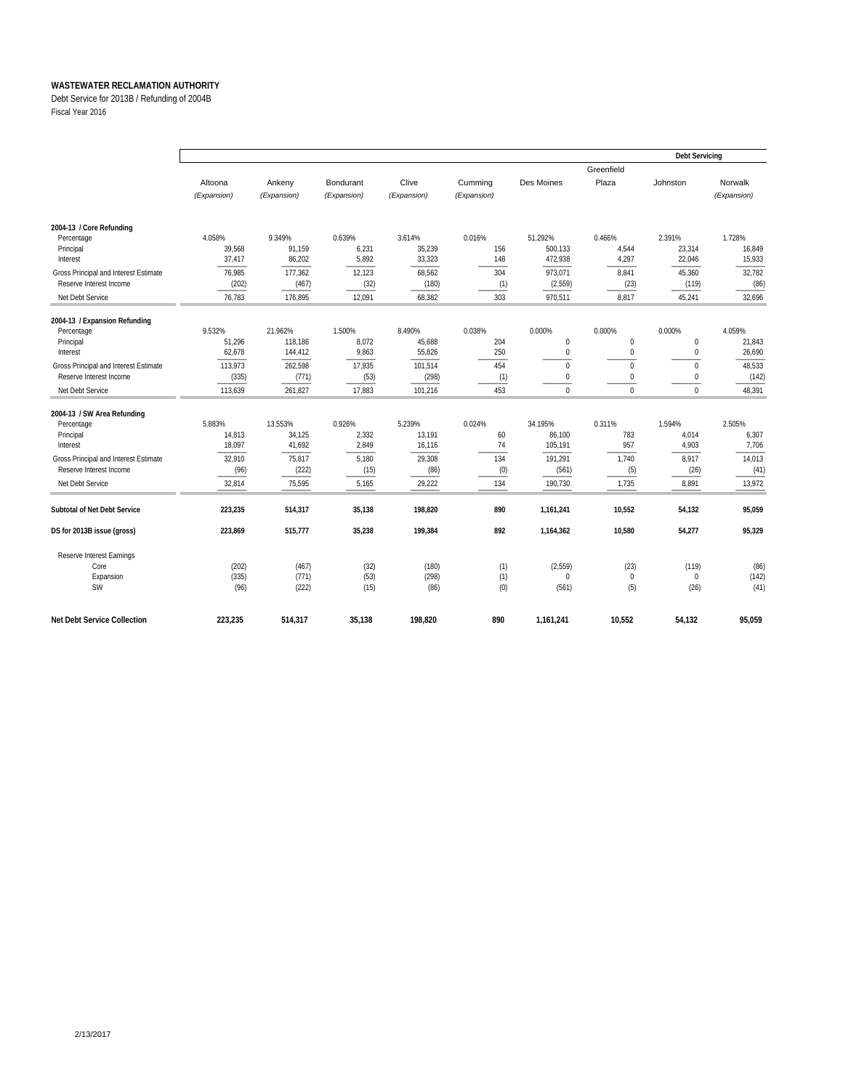Debt Service for 2013B / Refunding of 2004B

Fiscal Year 2016

|                                       |             |             |             |             |             |             |                     | <b>Debt Servicing</b> |             |
|---------------------------------------|-------------|-------------|-------------|-------------|-------------|-------------|---------------------|-----------------------|-------------|
|                                       | Altoona     | Ankeny      | Bondurant   | Clive       | Cummina     | Des Moines  | Greenfield<br>Plaza | Johnston              | Norwalk     |
|                                       | (Expansion) | (Expansion) | (Expansion) | (Expansion) | (Expansion) |             |                     |                       | (Expansion) |
| 2004-13 / Core Refunding              |             |             |             |             |             |             |                     |                       |             |
| Percentage                            | 4.058%      | 9.349%      | 0.639%      | 3.614%      | 0.016%      | 51.292%     | 0.466%              | 2.391%                | 1.728%      |
| Principal                             | 39.568      | 91.159      | 6,231       | 35,239      | 156         | 500.133     | 4,544               | 23,314                | 16.849      |
| Interest                              | 37,417      | 86,202      | 5,892       | 33,323      | 148         | 472,938     | 4,297               | 22,046                | 15,933      |
| Gross Principal and Interest Estimate | 76,985      | 177,362     | 12,123      | 68,562      | 304         | 973,071     | 8,841               | 45,360                | 32,782      |
| Reserve Interest Income               | (202)       | (467)       | (32)        | (180)       | (1)         | (2, 559)    | (23)                | (119)                 | (86)        |
| Net Debt Service                      | 76,783      | 176,895     | 12,091      | 68,382      | 303         | 970,511     | 8,817               | 45,241                | 32,696      |
| 2004-13 / Expansion Refunding         |             |             |             |             |             |             |                     |                       |             |
| Percentage                            | 9.532%      | 21.962%     | 1.500%      | 8.490%      | 0.038%      | 0.000%      | 0.000%              | 0.000%                | 4.059%      |
| Principal                             | 51,296      | 118,186     | 8,072       | 45,688      | 204         | $\mathbf 0$ | $\mathbf 0$         | $\mathbf{0}$          | 21,843      |
| Interest                              | 62,678      | 144.412     | 9,863       | 55,826      | 250         | $\mathbf 0$ | $\mathbf{0}$        | $\mathbf{0}$          | 26,690      |
| Gross Principal and Interest Estimate | 113,973     | 262,598     | 17,935      | 101,514     | 454         | $\mathbf 0$ | $\mathbf 0$         | $\mathbf{0}$          | 48,533      |
| Reserve Interest Income               | (335)       | (771)       | (53)        | (298)       | (1)         | 0           | $\mathbf 0$         | $\mathbf{0}$          | (142)       |
| Net Debt Service                      | 113,639     | 261,827     | 17,883      | 101,216     | 453         | $\Omega$    | $\Omega$            | $\Omega$              | 48,391      |
| 2004-13 / SW Area Refunding           |             |             |             |             |             |             |                     |                       |             |
| Percentage                            | 5.883%      | 13.553%     | 0.926%      | 5.239%      | 0.024%      | 34.195%     | 0.311%              | 1.594%                | 2.505%      |
| Principal                             | 14,813      | 34,125      | 2,332       | 13,191      | 60          | 86,100      | 783                 | 4,014                 | 6,307       |
| Interest                              | 18,097      | 41,692      | 2,849       | 16,116      | 74          | 105,191     | 957                 | 4,903                 | 7,706       |
| Gross Principal and Interest Estimate | 32,910      | 75,817      | 5,180       | 29,308      | 134         | 191,291     | 1,740               | 8,917                 | 14,013      |
| Reserve Interest Income               | (96)        | (222)       | (15)        | (86)        | (0)         | (561)       | (5)                 | (26)                  | (41)        |
| Net Debt Service                      | 32,814      | 75,595      | 5,165       | 29,222      | 134         | 190,730     | 1,735               | 8,891                 | 13,972      |
| Subtotal of Net Debt Service          | 223,235     | 514,317     | 35,138      | 198,820     | 890         | 1,161,241   | 10,552              | 54,132                | 95,059      |
| DS for 2013B issue (gross)            | 223,869     | 515,777     | 35,238      | 199,384     | 892         | 1,164,362   | 10,580              | 54,277                | 95,329      |
| Reserve Interest Earnings             |             |             |             |             |             |             |                     |                       |             |
| Core                                  | (202)       | (467)       | (32)        | (180)       | (1)         | (2, 559)    | (23)                | (119)                 | (86)        |
| Expansion                             | (335)       | (771)       | (53)        | (298)       | (1)         | $\Omega$    | $\mathbf{0}$        | $\mathbf{0}$          | (142)       |
| <b>SW</b>                             | (96)        | (222)       | (15)        | (86)        | (0)         | (561)       | (5)                 | (26)                  | (41)        |
| <b>Net Debt Service Collection</b>    | 223.235     | 514.317     | 35.138      | 198.820     | 890         | 1,161,241   | 10.552              | 54.132                | 95,059      |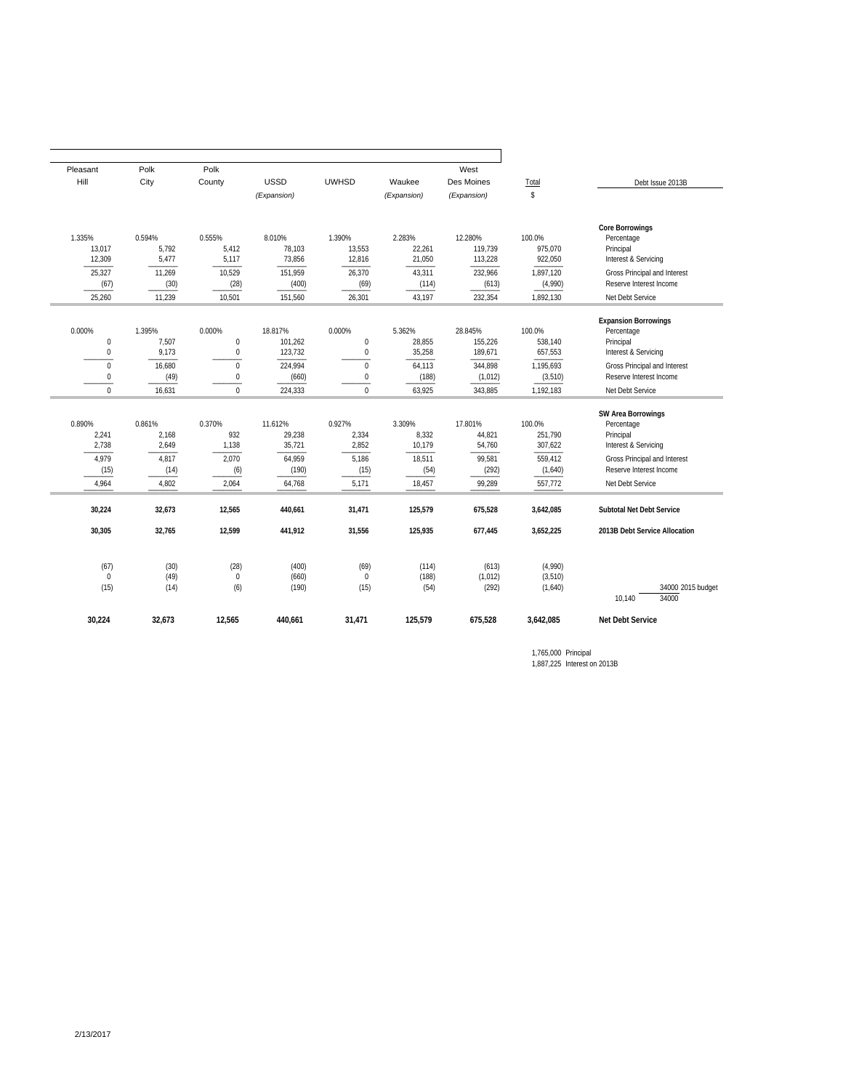| Pleasant                        | Polk                     | Polk                                 |                               |                                      |                            | West                          |                                    |                                                                                |
|---------------------------------|--------------------------|--------------------------------------|-------------------------------|--------------------------------------|----------------------------|-------------------------------|------------------------------------|--------------------------------------------------------------------------------|
| Hill                            | City                     | County                               | <b>USSD</b>                   | <b>UWHSD</b>                         | Waukee                     | Des Moines                    | Total                              | Debt Issue 2013B                                                               |
|                                 |                          |                                      | (Expansion)                   |                                      | (Expansion)                | (Expansion)                   | \$                                 |                                                                                |
| 1.335%<br>13,017<br>12,309      | 0.594%<br>5,792<br>5,477 | 0.555%<br>5,412<br>5,117             | 8.010%<br>78,103<br>73,856    | 1.390%<br>13,553<br>12,816           | 2.283%<br>22,261<br>21,050 | 12.280%<br>119,739<br>113,228 | 100.0%<br>975,070<br>922,050       | <b>Core Borrowings</b><br>Percentage<br>Principal<br>Interest & Servicing      |
| 25,327<br>(67)                  | 11,269<br>(30)           | 10,529<br>(28)                       | 151,959<br>(400)              | 26,370<br>(69)                       | 43,311<br>(114)            | 232,966<br>(613)              | 1,897,120<br>(4,990)               | Gross Principal and Interest<br>Reserve Interest Income                        |
| 25,260                          | 11,239                   | 10,501                               | 151,560                       | 26,301                               | 43,197                     | 232,354<br>1,892,130          |                                    | Net Debt Service                                                               |
| 0.000%<br>0<br>$\bf 0$          | 1.395%<br>7,507<br>9,173 | 0.000%<br>$\mathbf 0$<br>$\mathbf 0$ | 18.817%<br>101,262<br>123,732 | 0.000%<br>$\mathbf 0$<br>$\mathbf 0$ | 5.362%<br>28,855<br>35,258 | 28.845%<br>155,226<br>189,671 | 100.0%<br>538,140<br>657,553       | <b>Expansion Borrowings</b><br>Percentage<br>Principal<br>Interest & Servicing |
| $\mathbf 0$<br>0<br>$\mathbf 0$ | 16,680<br>(49)<br>16,631 | $\mathbf{0}$<br>$\bf{0}$<br>$\Omega$ | 224,994<br>(660)<br>224,333   | $\mathbf{0}$<br>0<br>$\Omega$        | 64,113<br>(188)<br>63,925  | 344,898<br>(1,012)<br>343,885 | 1,195,693<br>(3, 510)<br>1,192,183 | Gross Principal and Interest<br>Reserve Interest Income<br>Net Debt Service    |
| 0.890%<br>2,241<br>2,738        | 0.861%<br>2,168<br>2,649 | 0.370%<br>932<br>1,138               | 11.612%<br>29,238<br>35,721   | 0.927%<br>2,334<br>2,852             | 3.309%<br>8,332<br>10,179  | 17.801%<br>44,821<br>54,760   | 100.0%<br>251,790<br>307,622       | <b>SW Area Borrowings</b><br>Percentage<br>Principal<br>Interest & Servicing   |
| 4,979<br>(15)<br>4,964          | 4,817<br>(14)<br>4,802   | 2,070<br>(6)<br>2,064                | 64,959<br>(190)<br>64,768     | 5,186<br>(15)<br>5,171               | 18,511<br>(54)<br>18,457   | 99,581<br>(292)<br>99,289     | 559,412<br>(1,640)<br>557,772      | Gross Principal and Interest<br>Reserve Interest Income<br>Net Debt Service    |
| 30,224                          | 32,673                   | 12,565                               | 440,661                       | 31,471                               | 125,579                    | 675,528                       | 3,642,085                          | Subtotal Net Debt Service                                                      |
| 30,305                          | 32,765                   | 12,599                               | 441,912                       | 31,556                               | 125,935                    | 677,445                       | 3,652,225                          | 2013B Debt Service Allocation                                                  |
| (67)<br>$\Omega$<br>(15)        | (30)<br>(49)<br>(14)     | (28)<br>$\mathbf{0}$<br>(6)          | (400)<br>(660)<br>(190)       | (69)<br>$\mathbf{0}$<br>(15)         | (114)<br>(188)<br>(54)     | (613)<br>(1, 012)<br>(292)    | (4,990)<br>(3, 510)<br>(1,640)     | 34000 2015 budget<br>34000<br>10,140                                           |
| 30,224                          | 32,673                   | 12,565                               | 440,661                       | 31,471                               | 125,579                    | 675,528                       | 3,642,085                          | <b>Net Debt Service</b>                                                        |

1,765,000 Principal 1,887,225 Interest on 2013B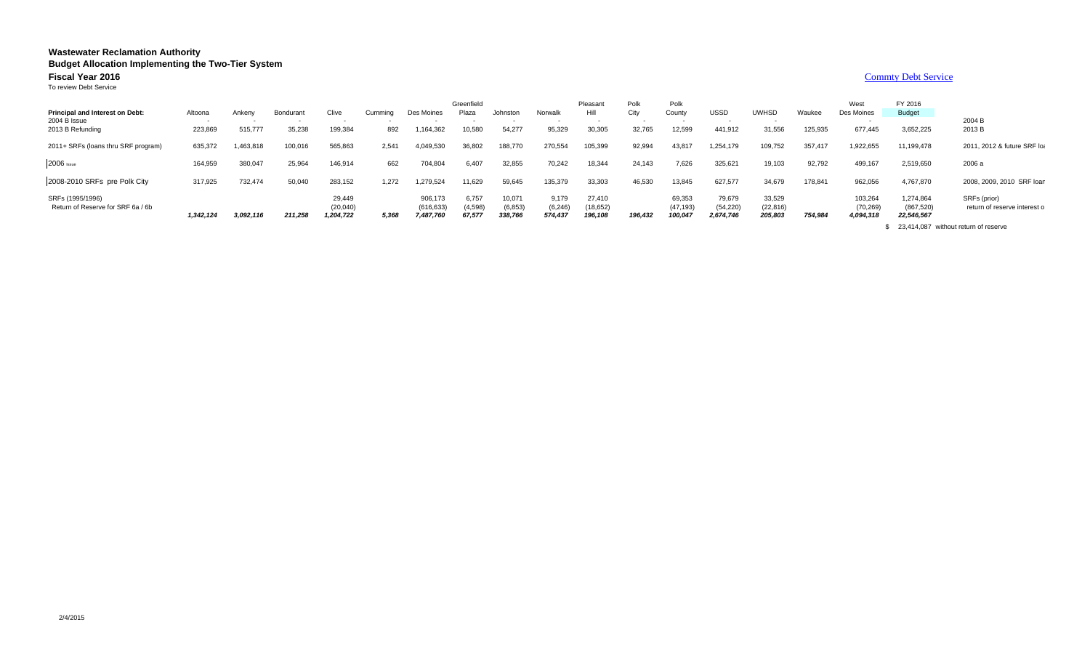#### **Wastewater Reclamation Authority Budget Allocation Implementing the Two-Tier System Fiscal Year 20166 Commty Debt Service** To review Debt ServiceGreenfield Pleasant Polk Polk West FY 2016Budget **Principal and Interest on Debt:** Altoona Ankeny Bondurant Clive Cumming Des Moines Plaza Johnston Norwalk Hill City County USSD UWHSD Waukee Des Moines County USSD Waukee Des Moines 2004 B Issue - - - - - - - - - - - - - - - 2004 B2004 B<br>2013 B 2013 B Refunding 223,869 515,777 35,238 199,384 892 1,164,362 10,580 54,277 95,329 30,305 32,765 12,599 441,912 31,556 125,935 677,445 3,652,225 2013 B 2011+ SRFs (loans thru SRF program) 635,372 1,463,818 100,016 565,863 2,541 4,049,530 36,802 188,770 270,554 105,399 92,994 43,817 1,254,179 109,752 357,417 1,922,655 11,199,478 2011, 2012 & future SRF loa 2006 <sub>Issue</sub> 164,959 380,047 25,964 146,914 662 704,804 6,407 32,855 70,242 18,344 24,143 7,626 325,621 19,103 92,792 499 2008-2010 SRFs pre Polk City 317,925 732,474 50,040 283,152 1,272 1,279,524 11,629 59,645 135,379 33,303 46,530 13,845 627,577 34,679 178,841 962,056 4,767,870 2008, 2009, 2010 SRF loan SRFs (1995/1996) 906,173 29,449 6,757 10,071 9,179 27,410 69,353 79,679 33,529 103,264 1,274,864 SRFs (prior)

Return of Reserve for SRF 6a / 6b (610,040) (20,040) (616,633) (4,598) (6,853) (6,853) (6,853) (6,853) (54,520) (54,220) (22,816) (22,816) (70,269) (867,520) return of reserve interest o  *3,092,116 1,342,124 211,258 1,204,722 5,368 7,487,760 67,577 338,766 574,437 196,108 196,432 100,047 2,674,746 205,803 754,984 4,094,318 22,546,567*

\$ 23,414,087 without return of reserve